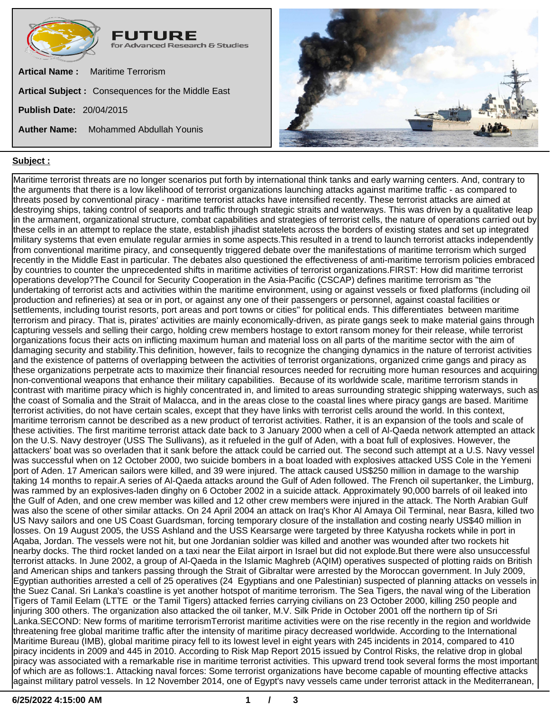



## **Subject :**

Maritime terrorist threats are no longer scenarios put forth by international think tanks and early warning centers. And, contrary to the arguments that there is a low likelihood of terrorist organizations launching attacks against maritime traffic - as compared to threats posed by conventional piracy - maritime terrorist attacks have intensified recently. These terrorist attacks are aimed at destroying ships, taking control of seaports and traffic through strategic straits and waterways. This was driven by a qualitative leap in the armament, organizational structure, combat capabilities and strategies of terrorist cells, the nature of operations carried out by these cells in an attempt to replace the state, establish jihadist statelets across the borders of existing states and set up integrated military systems that even emulate regular armies in some aspects.This resulted in a trend to launch terrorist attacks independently from conventional maritime piracy, and consequently triggered debate over the manifestations of maritime terrorism which surged recently in the Middle East in particular. The debates also questioned the effectiveness of anti-maritime terrorism policies embraced by countries to counter the unprecedented shifts in maritime activities of terrorist organizations.FIRST: How did maritime terrorist operations develop?The Council for Security Cooperation in the Asia-Pacific (CSCAP) defines maritime terrorism as "the undertaking of terrorist acts and activities within the maritime environment, using or against vessels or fixed platforms (including oil production and refineries) at sea or in port, or against any one of their passengers or personnel, against coastal facilities or settlements, including tourist resorts, port areas and port towns or cities" for political ends. This differentiates between maritime terrorism and piracy. That is, pirates' activities are mainly economically-driven, as pirate gangs seek to make material gains through capturing vessels and selling their cargo, holding crew members hostage to extort ransom money for their release, while terrorist organizations focus their acts on inflicting maximum human and material loss on all parts of the maritime sector with the aim of damaging security and stability.This definition, however, fails to recognize the changing dynamics in the nature of terrorist activities and the existence of patterns of overlapping between the activities of terrorist organizations, organized crime gangs and piracy as these organizations perpetrate acts to maximize their financial resources needed for recruiting more human resources and acquiring non-conventional weapons that enhance their military capabilities. Because of its worldwide scale, maritime terrorism stands in contrast with maritime piracy which is highly concentrated in, and limited to areas surrounding strategic shipping waterways, such as the coast of Somalia and the Strait of Malacca, and in the areas close to the coastal lines where piracy gangs are based. Maritime terrorist activities, do not have certain scales, except that they have links with terrorist cells around the world. In this context, maritime terrorism cannot be described as a new product of terrorist activities. Rather, it is an expansion of the tools and scale of these activities. The first maritime terrorist attack date back to 3 January 2000 when a cell of Al-Qaeda network attempted an attack on the U.S. Navy destroyer (USS The Sullivans), as it refueled in the gulf of Aden, with a boat full of explosives. However, the attackers' boat was so overladen that it sank before the attack could be carried out. The second such attempt at a U.S. Navy vessel was successful when on 12 October 2000, two suicide bombers in a boat loaded with explosives attacked USS Cole in the Yemeni port of Aden. 17 American sailors were killed, and 39 were injured. The attack caused US\$250 million in damage to the warship taking 14 months to repair.A series of Al-Qaeda attacks around the Gulf of Aden followed. The French oil supertanker, the Limburg, was rammed by an explosives-laden dinghy on 6 October 2002 in a suicide attack. Approximately 90,000 barrels of oil leaked into the Gulf of Aden, and one crew member was killed and 12 other crew members were injured in the attack. The North Arabian Gulf was also the scene of other similar attacks. On 24 April 2004 an attack on Iraq's Khor Al Amaya Oil Terminal, near Basra, killed two US Navy sailors and one US Coast Guardsman, forcing temporary closure of the installation and costing nearly US\$40 million in losses. On 19 August 2005, the USS Ashland and the USS Kearsarge were targeted by three Katyusha rockets while in port in Aqaba, Jordan. The vessels were not hit, but one Jordanian soldier was killed and another was wounded after two rockets hit nearby docks. The third rocket landed on a taxi near the Eilat airport in Israel but did not explode.But there were also unsuccessful terrorist attacks. In June 2002, a group of Al-Qaeda in the Islamic Maghreb (AQIM) operatives suspected of plotting raids on British and American ships and tankers passing through the Strait of Gibraltar were arrested by the Moroccan government. In July 2009, Egyptian authorities arrested a cell of 25 operatives (24 Egyptians and one Palestinian) suspected of planning attacks on vessels in the Suez Canal. Sri Lanka's coastline is yet another hotspot of maritime terrorism. The Sea Tigers, the naval wing of the Liberation Tigers of Tamil Eelam (LTTE or the Tamil Tigers) attacked ferries carrying civilians on 23 October 2000, killing 250 people and injuring 300 others. The organization also attacked the oil tanker, M.V. Silk Pride in October 2001 off the northern tip of Sri Lanka.SECOND: New forms of maritime terrorismTerrorist maritime activities were on the rise recently in the region and worldwide threatening free global maritime traffic after the intensity of maritime piracy decreased worldwide. According to the International Maritime Bureau (IMB), global maritime piracy fell to its lowest level in eight years with 245 incidents in 2014, compared to 410 piracy incidents in 2009 and 445 in 2010. According to Risk Map Report 2015 issued by Control Risks, the relative drop in global piracy was associated with a remarkable rise in maritime terrorist activities. This upward trend took several forms the most important of which are as follows:1. Attacking naval forces: Some terrorist organizations have become capable of mounting effective attacks against military patrol vessels. In 12 November 2014, one of Egypt's navy vessels came under terrorist attack in the Mediterranean,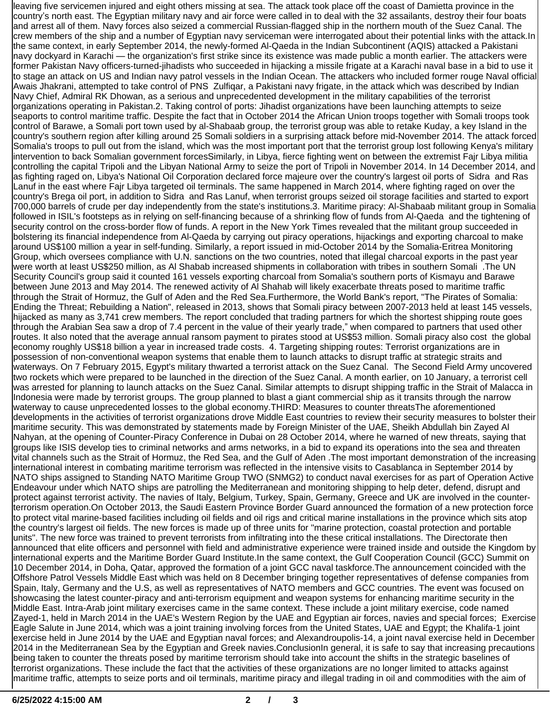leaving five servicemen injured and eight others missing at sea. The attack took place off the coast of Damietta province in the country's north east. The Egyptian military navy and air force were called in to deal with the 32 assailants, destroy their four boats and arrest all of them. Navy forces also seized a commercial Russian-flagged ship in the northern mouth of the Suez Canal. The crew members of the ship and a number of Egyptian navy serviceman were interrogated about their potential links with the attack.In the same context, in early September 2014, the newly-formed Al-Qaeda in the Indian Subcontinent (AQIS) attacked a Pakistani navy dockyard in Karachi — the organization's first strike since its existence was made public a month earlier. The attackers were former Pakistan Navy officers-turned-jihadists who succeeded in hijacking a missile frigate at a Karachi naval base in a bid to use it to stage an attack on US and Indian navy patrol vessels in the Indian Ocean. The attackers who included former rouge Naval official Awais Jhakrani, attempted to take control of PNS Zulfiqar, a Pakistani navy frigate, in the attack which was described by Indian Navy Chief, Admiral RK Dhowan, as a serious and unprecedented development in the military capabilities of the terrorist organizations operating in Pakistan.2. Taking control of ports: Jihadist organizations have been launching attempts to seize seaports to control maritime traffic. Despite the fact that in October 2014 the African Union troops together with Somali troops took control of Barawe, a Somali port town used by al-Shabaab group, the terrorist group was able to retake Kuday, a key Island in the country's southern region after killing around 25 Somali soldiers in a surprising attack before mid-November 2014. The attack forced Somalia's troops to pull out from the island, which was the most important port that the terrorist group lost following Kenya's military intervention to back Somalian government forcesSimilarly, in Libya, fierce fighting went on between the extremist Fajr Libya militia controlling the capital Tripoli and the Libyan National Army to seize the port of Tripoli in November 2014. In 14 December 2014, and as fighting raged on, Libya's National Oil Corporation declared force majeure over the country's largest oil ports of Sidra and Ras Lanuf in the east where Fajr Libya targeted oil terminals. The same happened in March 2014, where fighting raged on over the country's Brega oil port, in addition to Sidra and Ras Lanuf, when terrorist groups seized oil storage facilities and started to export 700,000 barrels of crude per day independently from the state's institutions.3. Maritime piracy: Al-Shabaab militant group in Somalia followed in ISIL's footsteps as in relying on self-financing because of a shrinking flow of funds from Al-Qaeda and the tightening of security control on the cross-border flow of funds. A report in the New York Times revealed that the militant group succeeded in bolstering its financial independence from Al-Qaeda by carrying out piracy operations, hijackings and exporting charcoal to make around US\$100 million a year in self-funding. Similarly, a report issued in mid-October 2014 by the Somalia-Eritrea Monitoring Group, which oversees compliance with U.N. sanctions on the two countries, noted that illegal charcoal exports in the past year were worth at least US\$250 million, as Al Shabab increased shipments in collaboration with tribes in southern Somali .The UN Security Council's group said it counted 161 vessels exporting charcoal from Somalia's southern ports of Kismayu and Barawe between June 2013 and May 2014. The renewed activity of Al Shahab will likely exacerbate threats posed to maritime traffic through the Strait of Hormuz, the Gulf of Aden and the Red Sea.Furthermore, the World Bank's report, "The Pirates of Somalia: Ending the Threat; Rebuilding a Nation", released in 2013, shows that Somali piracy between 2007-2013 held at least 145 vessels, hijacked as many as 3,741 crew members. The report concluded that trading partners for which the shortest shipping route goes through the Arabian Sea saw a drop of 7.4 percent in the value of their yearly trade," when compared to partners that used other routes. It also noted that the average annual ransom payment to pirates stood at US\$53 million. Somali piracy also cost the global economy roughly US\$18 billion a year in increased trade costs. 4. Targeting shipping routes: Terrorist organizations are in possession of non-conventional weapon systems that enable them to launch attacks to disrupt traffic at strategic straits and waterways. On 7 February 2015, Egypt's military thwarted a terrorist attack on the Suez Canal. The Second Field Army uncovered two rockets which were prepared to be launched in the direction of the Suez Canal. A month earlier, on 10 January, a terrorist cell was arrested for planning to launch attacks on the Suez Canal. Similar attempts to disrupt shipping traffic in the Strait of Malacca in Indonesia were made by terrorist groups. The group planned to blast a giant commercial ship as it transits through the narrow waterway to cause unprecedented losses to the global economy.THIRD: Measures to counter threatsThe aforementioned developments in the activities of terrorist organizations drove Middle East countries to review their security measures to bolster their maritime security. This was demonstrated by statements made by Foreign Minister of the UAE, Sheikh Abdullah bin Zayed Al Nahyan, at the opening of Counter-Piracy Conference in Dubai on 28 October 2014, where he warned of new threats, saying that groups like ISIS develop ties to criminal networks and arms networks, in a bid to expand its operations into the sea and threaten vital channels such as the Strait of Hormuz, the Red Sea, and the Gulf of Aden .The most important demonstration of the increasing international interest in combating maritime terrorism was reflected in the intensive visits to Casablanca in September 2014 by NATO ships assigned to Standing NATO Maritime Group TWO (SNMG2) to conduct naval exercises for as part of Operation Active Endeavour under which NATO ships are patrolling the Mediterranean and monitoring shipping to help deter, defend, disrupt and protect against terrorist activity. The navies of Italy, Belgium, Turkey, Spain, Germany, Greece and UK are involved in the counterterrorism operation.On October 2013, the Saudi Eastern Province Border Guard announced the formation of a new protection force to protect vital marine-based facilities including oil fields and oil rigs and critical marine installations in the province which sits atop the country's largest oil fields. The new forces is made up of three units for "marine protection, coastal protection and portable units". The new force was trained to prevent terrorists from infiltrating into the these critical installations. The Directorate then announced that elite officers and personnel with field and administrative experience were trained inside and outside the Kingdom by international experts and the Maritime Border Guard Institute.In the same context, the Gulf Cooperation Council (GCC) Summit on 10 December 2014, in Doha, Qatar, approved the formation of a joint GCC naval taskforce.The announcement coincided with the Offshore Patrol Vessels Middle East which was held on 8 December bringing together representatives of defense companies from Spain, Italy, Germany and the U.S, as well as representatives of NATO members and GCC countries. The event was focused on showcasing the latest counter-piracy and anti-terrorism equipment and weapon systems for enhancing maritime security in the Middle East. Intra-Arab joint military exercises came in the same context. These include a joint military exercise, code named Zayed-1, held in March 2014 in the UAE's Western Region by the UAE and Egyptian air forces, navies and special forces; Exercise Eagle Salute in June 2014, which was a joint training involving forces from the United States, UAE and Egypt; the Khalifa-1 joint exercise held in June 2014 by the UAE and Egyptian naval forces; and Alexandroupolis-14, a joint naval exercise held in December 2014 in the Mediterranean Sea by the Egyptian and Greek navies.ConclusionIn general, it is safe to say that increasing precautions being taken to counter the threats posed by maritime terrorism should take into account the shifts in the strategic baselines of terrorist organizations. These include the fact that the activities of these organizations are no longer limited to attacks against maritime traffic, attempts to seize ports and oil terminals, maritime piracy and illegal trading in oil and commodities with the aim of